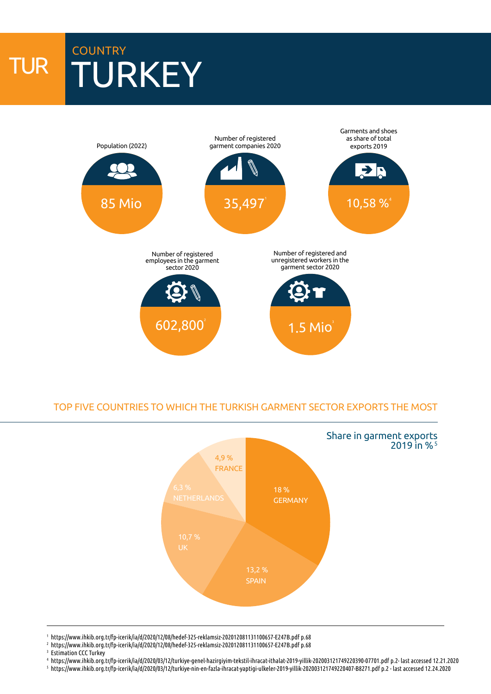# TUR **COUNTRY** TURKEY



### TOP FIVE COUNTRIES TO WHICH THE TURKISH GARMENT SECTOR EXPORTS THE MOST



1 https://www.ihkib.org.tr/fp-icerik/ia/d/2020/12/08/hedef-325-reklamsiz-202012081131100657-E247B.pdf p.68

- 2 https://www.ihkib.org.tr/fp-icerik/ia/d/2020/12/08/hedef-325-reklamsiz-202012081131100657-E247B.pdf p.68
- <sup>3</sup> Estimation CCC Turkey
- 4 https://www.ihkib.org.tr/fp-icerik/ia/d/2020/03/12/turkiye-genel-hazirgiyim-tekstil-ihracat-ithalat-2019-yillik-202003121749220390-07701.pdf p.2- last accessed 12.21.2020
- 5 https://www.ihkib.org.tr/fp-icerik/ia/d/2020/03/12/turkiye-nin-en-fazla-ihracat-yaptigi-ulkeler-2019-yillik-202003121749220407-B8271.pdf p.2 last accessed 12.24.2020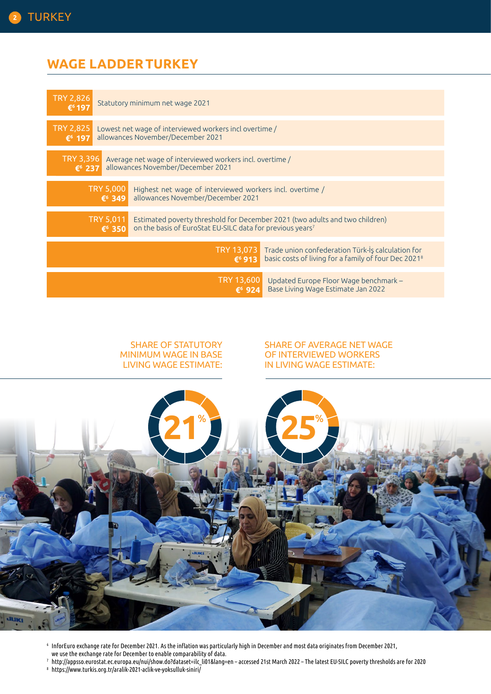## **WAGE LADDERTURKEY**



#### SHARE OF STATUTORY MINIMUM WAGE IN BASE LIVING WAGE ESTIMATE:

#### SHARE OF AVERAGE NET WAGE OF INTERVIEWED WORKERS IN LIVING WAGE ESTIMATE:



- <sup>6</sup> InforEuro exchange rate for December 2021. As the inflation was particularly high in December and most data originates from December 2021, we use the exchange rate for December to enable comparability of data.
- <sup>7</sup> http://appsso.eurostat.ec.europa.eu/nui/show.do?dataset=ilc\_li01&lang=en accessed 21st March 2022 The latest EU-SILC poverty thresholds are for 2020
- <sup>8</sup> https://www.turkis.org.tr/aralik-2021-aclik-ve-yoksulluk-siniri/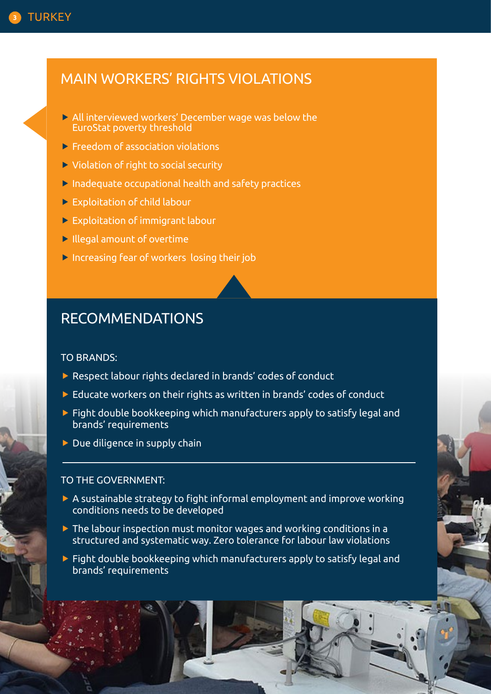## MAIN WORKERS' RIGHTS VIOLATIONS

- All interviewed workers' December wage was below the EuroStat poverty threshold
- Freedom of association violations
- ▶ Violation of right to social security
- Inadequate occupational health and safety practices
- Exploitation of child labour
- Exploitation of immigrant labour
- Illegal amount of overtime
- Increasing fear of workers losing their job

# RECOMMENDATIONS

### TO BRANDS:

- Respect labour rights declared in brands' codes of conduct
- ▶ Educate workers on their rights as written in brands' codes of conduct
- $\blacktriangleright$  Fight double bookkeeping which manufacturers apply to satisfy legal and brands' requirements
- $\blacktriangleright$  Due diligence in supply chain

### TO THE GOVERNMENT:

- $\triangleright$  A sustainable strategy to fight informal employment and improve working conditions needs to be developed
- $\triangleright$  The labour inspection must monitor wages and working conditions in a structured and systematic way. Zero tolerance for labour law violations
- $\blacktriangleright$  Fight double bookkeeping which manufacturers apply to satisfy legal and brands' requirements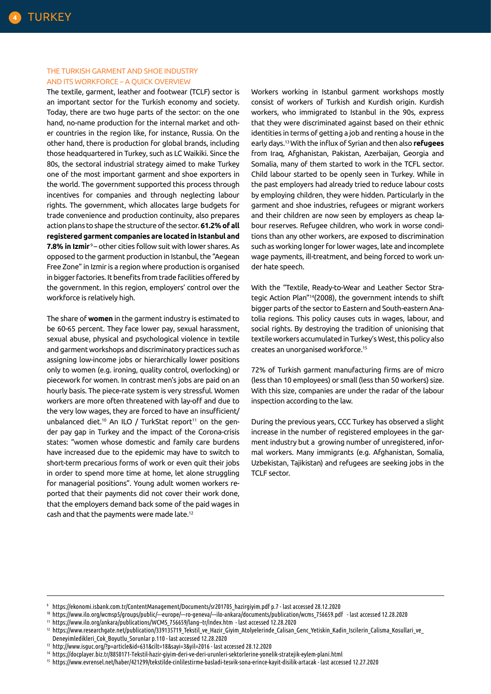#### THE TURKISH GARMENT AND SHOE INDUSTRY AND ITS WORKFORCE – A QUICK OVERVIEW

The textile, garment, leather and footwear (TCLF) sector is an important sector for the Turkish economy and society. Today, there are two huge parts of the sector: on the one hand, no-name production for the internal market and other countries in the region like, for instance, Russia. On the other hand, there is production for global brands, including those headquartered in Turkey, such as LC Waikiki. Since the 80s, the sectoral industrial strategy aimed to make Turkey one of the most important garment and shoe exporters in the world. The government supported this process through incentives for companies and through neglecting labour rights. The government, which allocates large budgets for trade convenience and production continuity, also prepares action plans to shape the structure of the sector. **61.2% of all registered garment companies are located in Istanbul and 7.8% in Izmir**<sup>9</sup> – other cities follow suit with lower shares. As opposed to the garment production in Istanbul, the "Aegean Free Zone" in Izmir is a region where production is organised in bigger factories. It benefits from trade facilities offered by the government. In this region, employers' control over the workforce is relatively high.

The share of **women** in the garment industry is estimated to be 60-65 percent. They face lower pay, sexual harassment, sexual abuse, physical and psychological violence in textile and garment workshops and discriminatory practices such as assigning low-income jobs or hierarchically lower positions only to women (e.g. ironing, quality control, overlocking) or piecework for women. In contrast men's jobs are paid on an hourly basis. The piece-rate system is very stressful. Women workers are more often threatened with lay-off and due to the very low wages, they are forced to have an insufficient/ unbalanced diet.<sup>10</sup> An ILO / TurkStat report<sup>11</sup> on the gender pay gap in Turkey and the impact of the Corona-crisis states: "women whose domestic and family care burdens have increased due to the epidemic may have to switch to short-term precarious forms of work or even quit their jobs in order to spend more time at home, let alone struggling for managerial positions". Young adult women workers reported that their payments did not cover their work done, that the employers demand back some of the paid wages in cash and that the payments were made late.12

Workers working in Istanbul garment workshops mostly consist of workers of Turkish and Kurdish origin. Kurdish workers, who immigrated to Istanbul in the 90s, express that they were discriminated against based on their ethnic identities in terms of getting a job and renting a house in the early days.13 With the influx of Syrian and then also **refugees**  from Iraq, Afghanistan, Pakistan, Azerbaijan, Georgia and Somalia, many of them started to work in the TCFL sector. Child labour started to be openly seen in Turkey. While in the past employers had already tried to reduce labour costs by employing children, they were hidden. Particularly in the garment and shoe industries, refugees or migrant workers and their children are now seen by employers as cheap labour reserves. Refugee children, who work in worse conditions than any other workers, are exposed to discrimination such as working longer for lower wages, late and incomplete wage payments, ill-treatment, and being forced to work under hate speech.

With the "Textile, Ready-to-Wear and Leather Sector Strategic Action Plan"14(2008), the government intends to shift bigger parts of the sector to Eastern and South-eastern Anatolia regions. This policy causes cuts in wages, labour, and social rights. By destroying the tradition of unionising that textile workers accumulated in Turkey's West, this policy also creates an unorganised workforce.15

72% of Turkish garment manufacturing firms are of micro (less than 10 employees) or small (less than 50 workers) size. With this size, companies are under the radar of the labour inspection according to the law.

During the previous years, CCC Turkey has observed a slight increase in the number of registered employees in the garment industry but a growing number of unregistered, informal workers. Many immigrants (e.g. Afghanistan, Somalia, Uzbekistan, Tajikistan) and refugees are seeking jobs in the TCLF sector.

<sup>9</sup> https://ekonomi.isbank.com.tr/ContentManagement/Documents/sr201705\_hazirgiyim.pdf p.7 - last accessed 28.12.2020

<sup>10</sup> https://www.ilo.org/wcmsp5/groups/public/---europe/---ro-geneva/---ilo-ankara/documents/publication/wcms\_756659.pdf - last accessed 12.28.2020 <sup>11</sup> https://www.ilo.org/ankara/publications/WCMS\_756659/lang--tr/index.htm - last accessed 12.28.2020

<sup>12</sup> https://www.researchgate.net/publication/339135719\_Tekstil\_ve\_Hazir\_Giyim\_Atolyelerinde\_Calisan\_Genc\_Yetiskin\_Kadin\_Iscilerin\_Calisma\_Kosullari\_ve\_ Deneyimledikleri\_Cok\_Boyutlu\_Sorunlar p.110 - last accessed 12.28.2020

<sup>13</sup> http://www.isguc.org/?p=article&id=631&cilt=18&sayi=3&yil=2016 - last accessed 28.12.2020

<sup>14</sup> https://docplayer.biz.tr/8850171-Tekstil-hazir-giyim-deri-ve-deri-urunleri-sektorlerine-yonelik-stratejik-eylem-plani.html

<sup>15</sup> https://www.evrensel.net/haber/421299/tekstilde-cinlilestirme-basladi-tesvik-sona-erince-kayit-disilik-artacak - last accessed 12.27.2020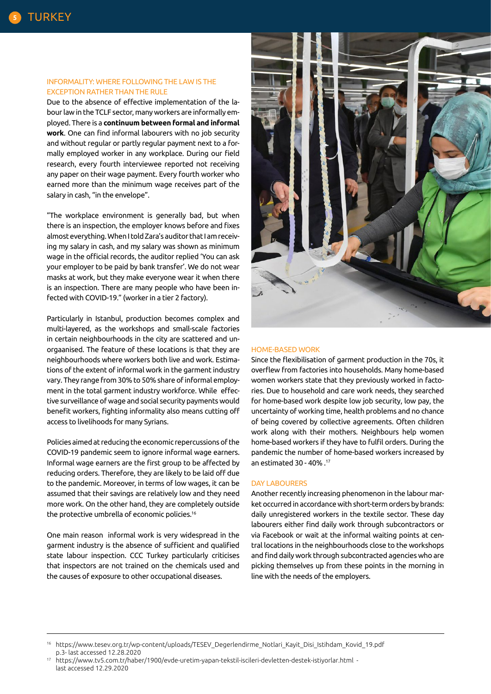#### INFORMALITY: WHERE FOLLOWING THE LAW IS THE EXCEPTION RATHER THAN THE RULE

Due to the absence of effective implementation of the labour law in the TCLF sector, many workers are informally employed. There is a **continuum between formal and informal work**. One can find informal labourers with no job security and without regular or partly regular payment next to a formally employed worker in any workplace. During our field research, every fourth interviewee reported not receiving any paper on their wage payment. Every fourth worker who earned more than the minimum wage receives part of the salary in cash, "in the envelope".

"The workplace environment is generally bad, but when there is an inspection, the employer knows before and fixes almost everything. When I told Zara's auditor that I am receiving my salary in cash, and my salary was shown as minimum wage in the official records, the auditor replied 'You can ask your employer to be paid by bank transfer'. We do not wear masks at work, but they make everyone wear it when there is an inspection. There are many people who have been infected with COVID-19." (worker in a tier 2 factory).

Particularly in Istanbul, production becomes complex and multi-layered, as the workshops and small-scale factories in certain neighbourhoods in the city are scattered and unorgaanised. The feature of these locations is that they are neighbourhoods where workers both live and work. Estimations of the extent of informal work in the garment industry vary. They range from 30% to 50% share of informal employment in the total garment industry workforce. While effective surveillance of wage and social security payments would benefit workers, fighting informality also means cutting off access to livelihoods for many Syrians.

Policies aimed at reducing the economic repercussions of the COVID-19 pandemic seem to ignore informal wage earners. Informal wage earners are the first group to be affected by reducing orders. Therefore, they are likely to be laid off due to the pandemic. Moreover, in terms of low wages, it can be assumed that their savings are relatively low and they need more work. On the other hand, they are completely outside the protective umbrella of economic policies.16

One main reason informal work is very widespread in the garment industry is the absence of sufficient and qualified state labour inspection. CCC Turkey particularly criticises that inspectors are not trained on the chemicals used and the causes of exposure to other occupational diseases.



#### HOME-BASED WORK

Since the flexibilisation of garment production in the 70s, it overflew from factories into households. Many home-based women workers state that they previously worked in factories. Due to household and care work needs, they searched for home-based work despite low job security, low pay, the uncertainty of working time, health problems and no chance of being covered by collective agreements. Often children work along with their mothers. Neighbours help women home-based workers if they have to fulfil orders. During the pandemic the number of home-based workers increased by an estimated 30 - 40% .17

#### DAY LABOURERS

Another recently increasing phenomenon in the labour market occurred in accordance with short-term orders by brands: daily unregistered workers in the textile sector. These day labourers either find daily work through subcontractors or via Facebook or wait at the informal waiting points at central locations in the neighbourhoods close to the workshops and find daily work through subcontracted agencies who are picking themselves up from these points in the morning in line with the needs of the employers.

<sup>16</sup> https://www.tesev.org.tr/wp-content/uploads/TESEV\_Degerlendirme\_Notlari\_Kayit\_Disi\_Istihdam\_Kovid\_19.pdf p.3- last accessed 12.28.2020

<sup>17</sup> https://www.tv5.com.tr/haber/1900/evde-uretim-yapan-tekstil-iscileri-devletten-destek-istiyorlar.html last accessed 12.29.2020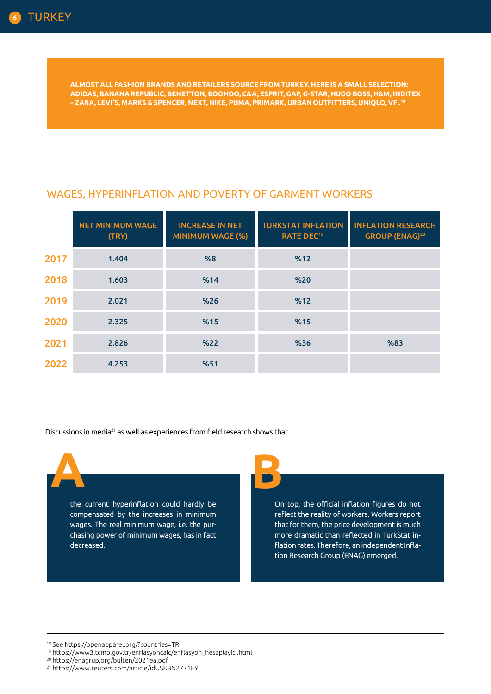**ALMOST ALL FASHION BRANDS AND RETAILERS SOURCE FROM TURKEY. HERE IS A SMALL SELECTION: ADIDAS, BANANA REPUBLIC, BENETTON, BOOHOO, C&A, ESPRIT, GAP, G-STAR, HUGO BOSS, H&M, INDITEX – ZARA, LEVI'S, MARKS & SPENCER, NEXT, NIKE, PUMA, PRIMARK, URBAN OUTFITTERS, UNIQLO, VF . 18**

## WAGES, HYPERINFLATION AND POVERTY OF GARMENT WORKERS

|      | <b>NET MINIMUM WAGE</b><br>(TRY) | <b>INCREASE IN NET</b><br><b>MINIMUM WAGE (%)</b> | <b>TURKSTAT INFLATION</b><br><b>RATE DEC<sup>19</sup></b> | <b>INFLATION RESEARCH</b><br><b>GROUP (ENAG)<sup>20</sup></b> |
|------|----------------------------------|---------------------------------------------------|-----------------------------------------------------------|---------------------------------------------------------------|
| 2017 | 1.404                            | %8                                                | %12                                                       |                                                               |
| 2018 | 1.603                            | %14                                               | %20                                                       |                                                               |
| 2019 | 2.021                            | %26                                               | %12                                                       |                                                               |
| 2020 | 2.325                            | %15                                               | %15                                                       |                                                               |
| 2021 | 2.826                            | %22                                               | %36                                                       | %83                                                           |
| 2022 | 4.253                            | %51                                               |                                                           |                                                               |

Discussions in media<sup>21</sup> as well as experiences from field research shows that

the current hyperinflation could hardly be compensated by the increases in minimum wages. The real minimum wage, i.e. the purchasing power of minimum wages, has in fact decreased.

**A B**

On top, the official inflation figures do not reflect the reality of workers. Workers report that for them, the price development is much more dramatic than reflected in TurkStat inflation rates. Therefore, an independent Inflation Research Group (ENAG) emerged.

18 See https://openapparel.org/?countries=TR

20 https://enagrup.org/bulten/2021ea.pdf

<sup>19</sup> https://www3.tcmb.gov.tr/enflasyoncalc/enflasyon\_hesaplayici.html

<sup>21</sup> https://www.reuters.com/article/idUSKBN2771EY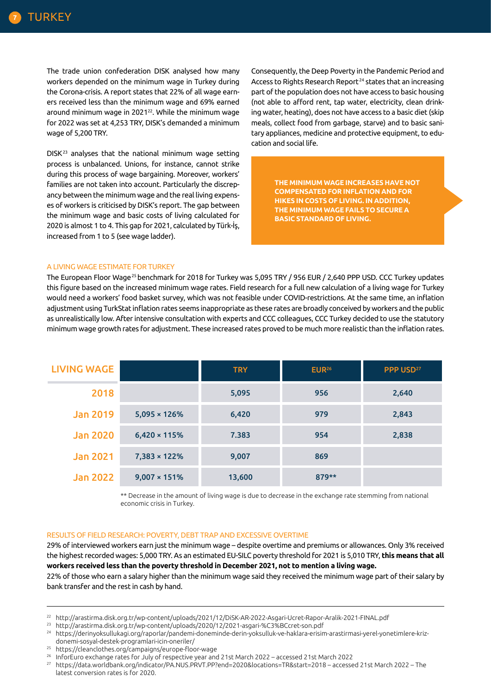The trade union confederation DISK analysed how many workers depended on the minimum wage in Turkey during the Corona-crisis. A report states that 22% of all wage earners received less than the minimum wage and 69% earned around minimum wage in 2021<sup>22</sup>. While the minimum wage for 2022 was set at 4,253 TRY, DISK's demanded a minimum wage of 5,200 TRY.

DISK23 analyses that the national minimum wage setting process is unbalanced. Unions, for instance, cannot strike during this process of wage bargaining. Moreover, workers' families are not taken into account. Particularly the discrepancy between the minimum wage and the real living expenses of workers is criticised by DISK's report. The gap between the minimum wage and basic costs of living calculated for 2020 is almost 1 to 4. This gap for 2021, calculated by Türk-İş, increased from 1 to 5 (see wage ladder).

Consequently, the Deep Poverty in the Pandemic Period and Access to Rights Research Report<sup>24</sup> states that an increasing part of the population does not have access to basic housing (not able to afford rent, tap water, electricity, clean drinking water, heating), does not have access to a basic diet (skip meals, collect food from garbage, starve) and to basic sanitary appliances, medicine and protective equipment, to education and social life.

> **THE MINIMUM WAGE INCREASES HAVE NOT COMPENSATED FOR INFLATION AND FOR HIKES IN COSTS OF LIVING. IN ADDITION, THE MINIMUM WAGE FAILS TO SECURE A BASIC STANDARD OF LIVING.**

#### A LIVING WAGE ESTIMATE FOR TURKEY

The European Floor Wage25 benchmark for 2018 for Turkey was 5,095 TRY / 956 EUR / 2,640 PPP USD. CCC Turkey updates this figure based on the increased minimum wage rates. Field research for a full new calculation of a living wage for Turkey would need a workers' food basket survey, which was not feasible under COVID-restrictions. At the same time, an inflation adjustment using TurkStat inflation rates seems inappropriate as these rates are broadly conceived by workers and the public as unrealistically low. After intensive consultation with experts and CCC colleagues, CCC Turkey decided to use the statutory minimum wage growth rates for adjustment. These increased rates proved to be much more realistic than the inflation rates.

| <b>LIVING WAGE</b> |                      | <b>TRY</b> | EUR <sup>26</sup> | PPP USD <sup>27</sup> |
|--------------------|----------------------|------------|-------------------|-----------------------|
| 2018               |                      | 5,095      | 956               | 2,640                 |
| <b>Jan 2019</b>    | $5,095 \times 126\%$ | 6,420      | 979               | 2,843                 |
| <b>Jan 2020</b>    | $6,420 \times 115\%$ | 7.383      | 954               | 2,838                 |
| <b>Jan 2021</b>    | $7,383 \times 122\%$ | 9,007      | 869               |                       |
| <b>Jan 2022</b>    | $9,007 \times 151\%$ | 13,600     | 879**             |                       |

\*\* Decrease in the amount of living wage is due to decrease in the exchange rate stemming from national economic crisis in Turkey.

#### RESULTS OF FIELD RESEARCH: POVERTY, DEBT TRAP AND EXCESSIVE OVERTIME

29% of interviewed workers earn just the minimum wage – despite overtime and premiums or allowances. Only 3% received the highest recorded wages: 5,000 TRY. As an estimated EU-SILC poverty threshold for 2021 is 5,010 TRY, **this means that all workers received less than the poverty threshold in December 2021, not to mention a living wage.** 

22% of those who earn a salary higher than the minimum wage said they received the minimum wage part of their salary by bank transfer and the rest in cash by hand.

<sup>22</sup> http://arastirma.disk.org.tr/wp-content/uploads/2021/12/DiSK-AR-2022-Asgari-Ucret-Rapor-Aralik-2021-FINAL.pdf

<sup>23</sup> http://arastirma.disk.org.tr/wp-content/uploads/2020/12/2021-asgari-%C3%BCcret-son.pdf

<sup>24</sup> https://derinyoksullukagi.org/raporlar/pandemi-doneminde-derin-yoksulluk-ve-haklara-erisim-arastirmasi-yerel-yonetimlere-krizdonemi-sosyal-destek-programlari-icin-oneriler/ 25 https://cleanclothes.org/campaigns/europe-floor-wage

<sup>26</sup> InforEuro exchange rates for July of respective year and 21st March 2022 – accessed 21st March 2022

<sup>27</sup> https://data.worldbank.org/indicator/PA.NUS.PRVT.PP?end=2020&locations=TR&start=2018 – accessed 21st March 2022 – The latest conversion rates is for 2020.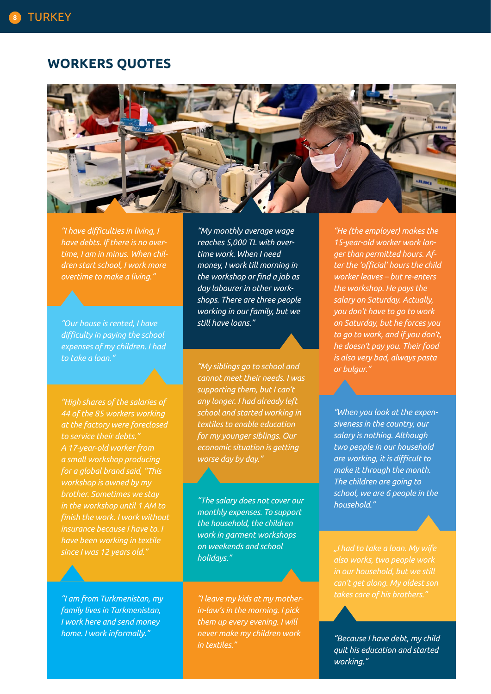## **WORKERS QUOTES**



*"I have difficulties in living, I have debts. If there is no overtime, I am in minus. When children start school, I work more overtime to make a living."*

*"Our house is rented, I have difficulty in paying the school expenses of my children. I had to take a loan."*

*"High shares of the salaries of 44 of the 85 workers working at the factory were foreclosed A 17-year-old worker from a small workshop producing for a global brand said, "This workshop is owned by my brother. Sometimes we stay in the workshop until 1 AM to finish the work. I work without insurance because I have to. I have been working in textile since I was 12 years old."*

*"I am from Turkmenistan, my family lives in Turkmenistan, I work here and send money home. I work informally."*

*"My monthly average wage reaches 5,000 TL with overtime work. When I need money, I work till morning in the workshop or find a job as day labourer in other workshops. There are three people working in our family, but we still have loans."*

*"My siblings go to school and cannot meet their needs. I was supporting them, but I can't any longer. I had already left school and started working in textiles to enable education for my younger siblings. Our economic situation is getting worse day by day."*

*"The salary does not cover our monthly expenses. To support the household, the children work in garment workshops on weekends and school holidays."*

*"I leave my kids at my motherin-law's in the morning. I pick them up every evening. I will never make my children work in textiles."*

*"He (the employer) makes the 15-year-old worker work longer than permitted hours. After the 'official' hours the child worker leaves – but re-enters the workshop. He pays the salary on Saturday. Actually, you don't have to go to work on Saturday, but he forces you to go to work, and if you don't, he doesn't pay you. Their food is also very bad, always pasta or bulgur."* 

*"When you look at the expensiveness in the country, our salary is nothing. Although two people in our household are working, it is difficult to make it through the month. The children are going to school, we are 6 people in the household."*

*"I had to take a loan. My wife also works, two people work in our household, but we still can't get along. My oldest son takes care of his brothers."* 

*"Because I have debt, my child quit his education and started working."*